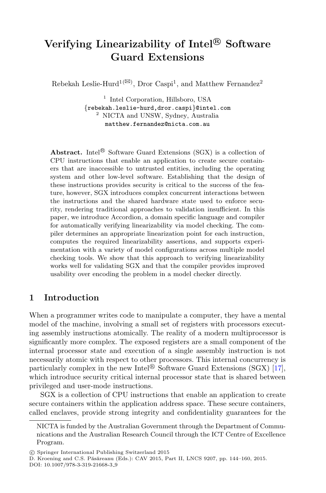# $\text{Verifying Linearizability of Intel} \text{\textregistered}\xspace$  Software **Guard Extensions**

Rebekah Leslie-Hurd<sup>1( $\boxtimes$ )</sup>, Dror Caspi<sup>1</sup>, and Matthew Fernandez<sup>2</sup>

<sup>1</sup> Intel Corporation, Hillsboro, USA<br>{rebekah.leslie-hurd,dror.caspi}@intel.com  $2$  NICTA and UNSW, Sydney, Australia matthew.fernandez@nicta.com.au

Abstract. Intel<sup>®</sup> Software Guard Extensions (SGX) is a collection of CPU instructions that enable an application to create secure containers that are inaccessible to untrusted entities, including the operating system and other low-level software. Establishing that the design of these instructions provides security is critical to the success of the feature, however, SGX introduces complex concurrent interactions between the instructions and the shared hardware state used to enforce security, rendering traditional approaches to validation insufficient. In this paper, we introduce Accordion, a domain specific language and compiler for automatically verifying linearizability via model checking. The compiler determines an appropriate linearization point for each instruction, computes the required linearizability assertions, and supports experimentation with a variety of model configurations across multiple model checking tools. We show that this approach to verifying linearizability works well for validating SGX and that the compiler provides improved usability over encoding the problem in a model checker directly.

#### **1 Introduction**

When a programmer writes code to manipulate a computer, they have a mental model of the machine, involving a small set of registers with processors executing assembly instructions atomically. The reality of a modern multiprocessor is significantly more complex. The exposed registers are a small component of the internal processor state and execution of a single assembly instruction is not necessarily atomic with respect to other processors. This internal concurrency is particularly complex in the new Intel<sup>®</sup> Software Guard Extensions (SGX) [\[17\]](#page-15-0), which introduce security critical internal processor state that is shared between privileged and user-mode instructions.

SGX is a collection of CPU instructions that enable an application to create secure containers within the application address space. These secure containers, called enclaves, provide strong integrity and confidentiality guarantees for the

NICTA is funded by the Australian Government through the Department of Communications and the Australian Research Council through the ICT Centre of Excellence Program.

<sup>-</sup>c Springer International Publishing Switzerland 2015

D. Kroening and C.S. Păsăreanu (Eds.): CAV 2015, Part II, LNCS 9207, pp. 144–160, 2015. DOI: 10.1007/978-3-319-21668-3<sub>-9</sub>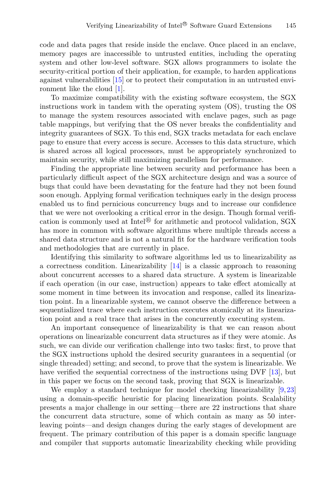code and data pages that reside inside the enclave. Once placed in an enclave, memory pages are inaccessible to untrusted entities, including the operating system and other low-level software. SGX allows programmers to isolate the security-critical portion of their application, for example, to harden applications against vulnerabilities [\[15](#page-15-1)] or to protect their computation in an untrusted environment like the cloud [\[1\]](#page-15-2).

To maximize compatibility with the existing software ecosystem, the SGX instructions work in tandem with the operating system (OS), trusting the OS to manage the system resources associated with enclave pages, such as page table mappings, but verifying that the OS never breaks the confidentiality and integrity guarantees of SGX. To this end, SGX tracks metadata for each enclave page to ensure that every access is secure. Accesses to this data structure, which is shared across all logical processors, must be appropriately synchronized to maintain security, while still maximizing parallelism for performance.

Finding the appropriate line between security and performance has been a particularly difficult aspect of the SGX architecture design and was a source of bugs that could have been devastating for the feature had they not been found soon enough. Applying formal verification techniques early in the design process enabled us to find pernicious concurrency bugs and to increase our confidence that we were not overlooking a critical error in the design. Though formal verification is commonly used at Intel<sup>®</sup> for arithmetic and protocol validation, SGX has more in common with software algorithms where multiple threads access a shared data structure and is not a natural fit for the hardware verification tools and methodologies that are currently in place.

Identifying this similarity to software algorithms led us to linearizability as a correctness condition. Linearizability [\[14](#page-15-3)] is a classic approach to reasoning about concurrent accesses to a shared data structure. A system is linearizable if each operation (in our case, instruction) appears to take effect atomically at some moment in time between its invocation and response, called its linearization point. In a linearizable system, we cannot observe the difference between a sequentialized trace where each instruction executes atomically at its linearization point and a real trace that arises in the concurrently executing system.

An important consequence of linearizability is that we can reason about operations on linearizable concurrent data structures as if they were atomic. As such, we can divide our verification challenge into two tasks: first, to prove that the SGX instructions uphold the desired security guarantees in a sequential (or single threaded) setting; and second, to prove that the system is linearizable. We have verified the sequential correctness of the instructions using DVF [\[13](#page-15-4)], but in this paper we focus on the second task, proving that SGX is linearizable.

We employ a standard technique for model checking linearizability [\[9,](#page-15-5)[23\]](#page-16-0) using a domain-specific heuristic for placing linearization points. Scalability presents a major challenge in our setting—there are 22 instructions that share the concurrent data structure, some of which contain as many as 50 interleaving points—and design changes during the early stages of development are frequent. The primary contribution of this paper is a domain specific language and compiler that supports automatic linearizability checking while providing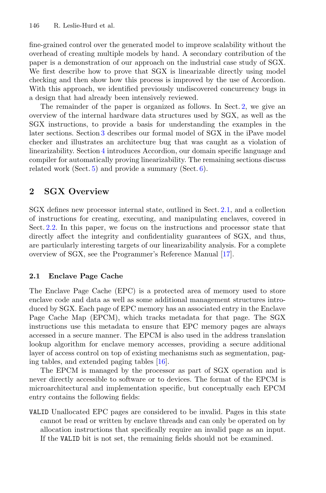fine-grained control over the generated model to improve scalability without the overhead of creating multiple models by hand. A secondary contribution of the paper is a demonstration of our approach on the industrial case study of SGX. We first describe how to prove that SGX is linearizable directly using model checking and then show how this process is improved by the use of Accordion. With this approach, we identified previously undiscovered concurrency bugs in a design that had already been intensively reviewed.

The remainder of the paper is organized as follows. In Sect. [2,](#page-2-0) we give an overview of the internal hardware data structures used by SGX, as well as the SGX instructions, to provide a basis for understanding the examples in the later sections. Section [3](#page-5-0) describes our formal model of SGX in the iPave model checker and illustrates an architecture bug that was caught as a violation of linearizability. Section [4](#page-8-0) introduces Accordion, our domain specific language and compiler for automatically proving linearizability. The remaining sections discuss related work (Sect.  $5$ ) and provide a summary (Sect.  $6$ ).

## <span id="page-2-0"></span>**2 SGX Overview**

SGX defines new processor internal state, outlined in Sect. [2.1,](#page-2-1) and a collection of instructions for creating, executing, and manipulating enclaves, covered in Sect. [2.2.](#page-3-0) In this paper, we focus on the instructions and processor state that directly affect the integrity and confidentiality guarantees of SGX, and thus, are particularly interesting targets of our linearizability analysis. For a complete overview of SGX, see the Programmer's Reference Manual [\[17](#page-15-0)].

#### <span id="page-2-1"></span>**2.1 Enclave Page Cache**

The Enclave Page Cache (EPC) is a protected area of memory used to store enclave code and data as well as some additional management structures introduced by SGX. Each page of EPC memory has an associated entry in the Enclave Page Cache Map (EPCM), which tracks metadata for that page. The SGX instructions use this metadata to ensure that EPC memory pages are always accessed in a secure manner. The EPCM is also used in the address translation lookup algorithm for enclave memory accesses, providing a secure additional layer of access control on top of existing mechanisms such as segmentation, paging tables, and extended paging tables [\[16\]](#page-15-6).

The EPCM is managed by the processor as part of SGX operation and is never directly accessible to software or to devices. The format of the EPCM is microarchitectural and implementation specific, but conceptually each EPCM entry contains the following fields:

VALID Unallocated EPC pages are considered to be invalid. Pages in this state cannot be read or written by enclave threads and can only be operated on by allocation instructions that specifically require an invalid page as an input. If the VALID bit is not set, the remaining fields should not be examined.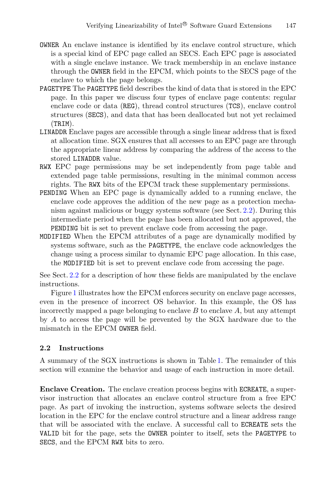- OWNER An enclave instance is identified by its enclave control structure, which is a special kind of EPC page called an SECS. Each EPC page is associated with a single enclave instance. We track membership in an enclave instance through the OWNER field in the EPCM, which points to the SECS page of the enclave to which the page belongs.
- PAGETYPE The PAGETYPE field describes the kind of data that is stored in the EPC page. In this paper we discuss four types of enclave page contents: regular enclave code or data (REG), thread control structures (TCS), enclave control structures (SECS), and data that has been deallocated but not yet reclaimed (TRIM).
- LINADDR Enclave pages are accessible through a single linear address that is fixed at allocation time. SGX ensures that all accesses to an EPC page are through the appropriate linear address by comparing the address of the access to the stored LINADDR value.
- RWX EPC page permissions may be set independently from page table and extended page table permissions, resulting in the minimal common access rights. The RWX bits of the EPCM track these supplementary permissions.
- PENDING When an EPC page is dynamically added to a running enclave, the enclave code approves the addition of the new page as a protection mechanism against malicious or buggy systems software (see Sect. [2.2\)](#page-4-0). During this intermediate period when the page has been allocated but not approved, the PENDING bit is set to prevent enclave code from accessing the page.
- MODIFIED When the EPCM attributes of a page are dynamically modified by systems software, such as the PAGETYPE, the enclave code acknowledges the change using a process similar to dynamic EPC page allocation. In this case, the MODIFIED bit is set to prevent enclave code from accessing the page.

See Sect. [2.2](#page-3-0) for a description of how these fields are manipulated by the enclave instructions.

Figure [1](#page-4-1) illustrates how the EPCM enforces security on enclave page accesses, even in the presence of incorrect OS behavior. In this example, the OS has incorrectly mapped a page belonging to enclave *B* to enclave *A*, but any attempt by *A* to access the page will be prevented by the SGX hardware due to the mismatch in the EPCM OWNER field.

#### <span id="page-3-0"></span>**2.2 Instructions**

A summary of the SGX instructions is shown in Table [1.](#page-5-1) The remainder of this section will examine the behavior and usage of each instruction in more detail.

**Enclave Creation.** The enclave creation process begins with ECREATE, a supervisor instruction that allocates an enclave control structure from a free EPC page. As part of invoking the instruction, systems software selects the desired location in the EPC for the enclave control structure and a linear address range that will be associated with the enclave. A successful call to ECREATE sets the VALID bit for the page, sets the OWNER pointer to itself, sets the PAGETYPE to SECS, and the EPCM RWX bits to zero.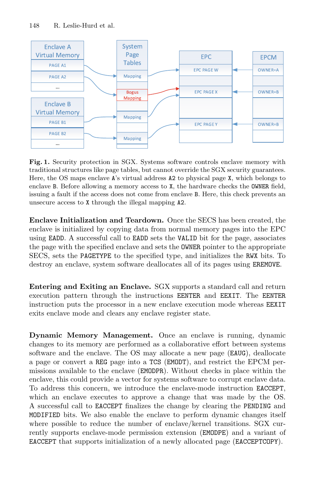

<span id="page-4-1"></span>**Fig. 1.** Security protection in SGX. Systems software controls enclave memory with traditional structures like page tables, but cannot override the SGX security guarantees. Here, the OS maps enclave A's virtual address A2 to physical page X, which belongs to enclave B. Before allowing a memory access to X, the hardware checks the OWNER field, issuing a fault if the access does not come from enclave B. Here, this check prevents an unsecure access to X through the illegal mapping A2.

**Enclave Initialization and Teardown.** Once the SECS has been created, the enclave is initialized by copying data from normal memory pages into the EPC using EADD. A successful call to EADD sets the VALID bit for the page, associates the page with the specified enclave and sets the OWNER pointer to the appropriate SECS, sets the PAGETYPE to the specified type, and initializes the RWX bits. To destroy an enclave, system software deallocates all of its pages using EREMOVE.

**Entering and Exiting an Enclave.** SGX supports a standard call and return execution pattern through the instructions EENTER and EEXIT. The EENTER instruction puts the processor in a new enclave execution mode whereas EEXIT exits enclave mode and clears any enclave register state.

<span id="page-4-0"></span>**Dynamic Memory Management.** Once an enclave is running, dynamic changes to its memory are performed as a collaborative effort between systems software and the enclave. The OS may allocate a new page (EAUG), deallocate a page or convert a REG page into a TCS (EMODT), and restrict the EPCM permissions available to the enclave (EMODPR). Without checks in place within the enclave, this could provide a vector for systems software to corrupt enclave data. To address this concern, we introduce the enclave-mode instruction EACCEPT, which an enclave executes to approve a change that was made by the OS. A successful call to EACCEPT finalizes the change by clearing the PENDING and MODIFIED bits. We also enable the enclave to perform dynamic changes itself where possible to reduce the number of enclave/kernel transitions. SGX currently supports enclave-mode permission extension (EMODPE) and a variant of EACCEPT that supports initialization of a newly allocated page (EACCEPTCOPY).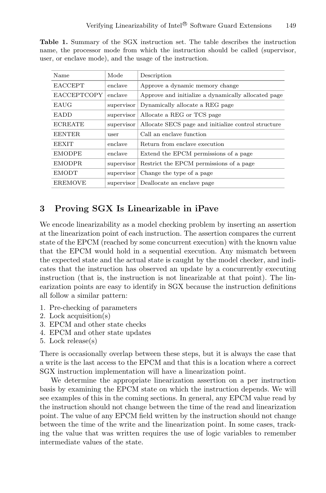<span id="page-5-1"></span>

|  | <b>Table 1.</b> Summary of the SGX instruction set. The table describes the instruction |  |  |  |  |  |  |  |
|--|-----------------------------------------------------------------------------------------|--|--|--|--|--|--|--|
|  | name, the processor mode from which the instruction should be called (supervisor,       |  |  |  |  |  |  |  |
|  | user, or enclave mode), and the usage of the instruction.                               |  |  |  |  |  |  |  |

| Name               | Mode       | Description                                         |
|--------------------|------------|-----------------------------------------------------|
| <b>EACCEPT</b>     | enclave    | Approve a dynamic memory change                     |
| <b>EACCEPTCOPY</b> | enclave    | Approve and initialize a dynamically allocated page |
| <b>EAUG</b>        | supervisor | Dynamically allocate a REG page                     |
| <b>EADD</b>        | supervisor | Allocate a REG or TCS page                          |
| <b>ECREATE</b>     | supervisor | Allocate SECS page and initialize control structure |
| <b>EENTER</b>      | user       | Call an enclave function                            |
| <b>EEXIT</b>       | enclave    | Return from enclave execution                       |
| <b>EMODPE</b>      | enclave    | Extend the EPCM permissions of a page               |
| <b>EMODPR</b>      | supervisor | Restrict the EPCM permissions of a page             |
| <b>EMODT</b>       | supervisor | Change the type of a page                           |
| <b>EREMOVE</b>     | supervisor | Deallocate an enclave page                          |

### <span id="page-5-0"></span>**3 Proving SGX Is Linearizable in iPave**

We encode linearizability as a model checking problem by inserting an assertion at the linearization point of each instruction. The assertion compares the current state of the EPCM (reached by some concurrent execution) with the known value that the EPCM would hold in a sequential execution. Any mismatch between the expected state and the actual state is caught by the model checker, and indicates that the instruction has observed an update by a concurrently executing instruction (that is, the instruction is not linearizable at that point). The linearization points are easy to identify in SGX because the instruction definitions all follow a similar pattern:

- 1. Pre-checking of parameters
- 2. Lock acquisition(s)
- 3. EPCM and other state checks
- 4. EPCM and other state updates
- 5. Lock release(s)

There is occasionally overlap between these steps, but it is always the case that a write is the last access to the EPCM and that this is a location where a correct SGX instruction implementation will have a linearization point.

We determine the appropriate linearization assertion on a per instruction basis by examining the EPCM state on which the instruction depends. We will see examples of this in the coming sections. In general, any EPCM value read by the instruction should not change between the time of the read and linearization point. The value of any EPCM field written by the instruction should not change between the time of the write and the linearization point. In some cases, tracking the value that was written requires the use of logic variables to remember intermediate values of the state.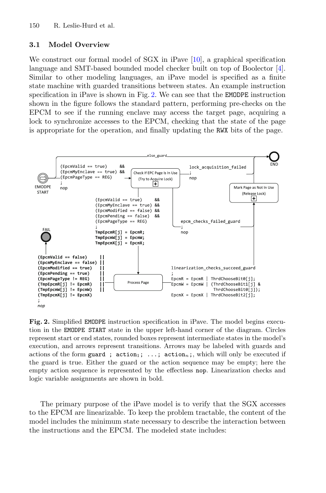#### **3.1 Model Overview**

We construct our formal model of SGX in iPave [\[10\]](#page-15-7), a graphical specification language and SMT-based bounded model checker built on top of Boolector [\[4\]](#page-15-8). Similar to other modeling languages, an iPave model is specified as a finite state machine with guarded transitions between states. An example instruction specification in iPave is shown in Fig. [2.](#page-6-0) We can see that the EMODPE instruction shown in the figure follows the standard pattern, performing pre-checks on the EPCM to see if the running enclave may access the target page, acquiring a lock to synchronize accesses to the EPCM, checking that the state of the page is appropriate for the operation, and finally updating the RWX bits of the page.



<span id="page-6-0"></span>**Fig. 2.** Simplified EMODPE instruction specification in iPave. The model begins execution in the EMODPE START state in the upper left-hand corner of the diagram. Circles represent start or end states, rounded boxes represent intermediate states in the model's execution, and arrows represent transitions. Arrows may be labeled with guards and actions of the form guard; action<sub>1</sub>; ...; action<sub>n</sub>;, which will only be executed if the guard is true. Either the guard or the action sequence may be empty; here the empty action sequence is represented by the effectless nop. Linearization checks and logic variable assignments are shown in bold.

The primary purpose of the iPave model is to verify that the SGX accesses to the EPCM are linearizable. To keep the problem tractable, the content of the model includes the minimum state necessary to describe the interaction between the instructions and the EPCM. The modeled state includes: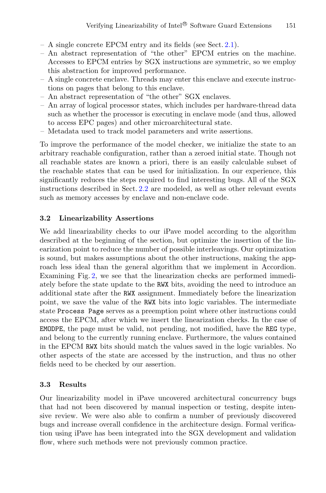- A single concrete EPCM entry and its fields (see Sect. [2.1\)](#page-2-1).
- An abstract representation of "the other" EPCM entries on the machine. Accesses to EPCM entries by SGX instructions are symmetric, so we employ this abstraction for improved performance.
- A single concrete enclave. Threads may enter this enclave and execute instructions on pages that belong to this enclave.
- An abstract representation of "the other" SGX enclaves.
- An array of logical processor states, which includes per hardware-thread data such as whether the processor is executing in enclave mode (and thus, allowed to access EPC pages) and other microarchitectural state.
- Metadata used to track model parameters and write assertions.

To improve the performance of the model checker, we initialize the state to an arbitrary reachable configuration, rather than a zeroed initial state. Though not all reachable states are known a priori, there is an easily calculable subset of the reachable states that can be used for initialization. In our experience, this significantly reduces the steps required to find interesting bugs. All of the SGX instructions described in Sect. [2.2](#page-3-0) are modeled, as well as other relevant events such as memory accesses by enclave and non-enclave code.

#### **3.2 Linearizability Assertions**

We add linearizability checks to our iPave model according to the algorithm described at the beginning of the section, but optimize the insertion of the linearization point to reduce the number of possible interleavings. Our optimization is sound, but makes assumptions about the other instructions, making the approach less ideal than the general algorithm that we implement in Accordion. Examining Fig. [2,](#page-6-0) we see that the linearization checks are performed immediately before the state update to the RWX bits, avoiding the need to introduce an additional state after the RWX assignment. Immediately before the linearization point, we save the value of the RWX bits into logic variables. The intermediate state Process Page serves as a preemption point where other instructions could access the EPCM, after which we insert the linearization checks. In the case of EMODPE, the page must be valid, not pending, not modified, have the REG type, and belong to the currently running enclave. Furthermore, the values contained in the EPCM RWX bits should match the values saved in the logic variables. No other aspects of the state are accessed by the instruction, and thus no other fields need to be checked by our assertion.

#### <span id="page-7-0"></span>**3.3 Results**

Our linearizability model in iPave uncovered architectural concurrency bugs that had not been discovered by manual inspection or testing, despite intensive review. We were also able to confirm a number of previously discovered bugs and increase overall confidence in the architecture design. Formal verification using iPave has been integrated into the SGX development and validation flow, where such methods were not previously common practice.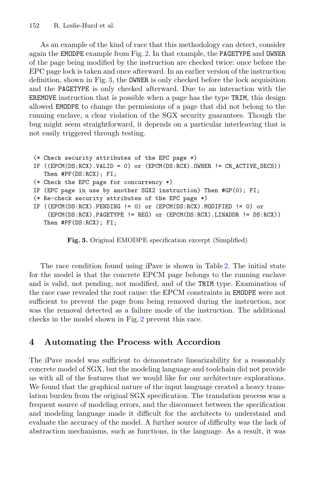As an example of the kind of race that this methodology can detect, consider again the EMODPE example from Fig. [2.](#page-6-0) In that example, the PAGETYPE and OWNER of the page being modified by the instruction are checked twice: once before the EPC page lock is taken and once afterward. In an earlier version of the instruction definition, shown in Fig. [3,](#page-8-1) the OWNER is only checked before the lock acquisition and the PAGETYPE is only checked afterward. Due to an interaction with the EREMOVE instruction that is possible when a page has the type TRIM, this design allowed EMODPE to change the permissions of a page that did not belong to the running enclave, a clear violation of the SGX security guarantees. Though the bug might seem straightforward, it depends on a particular interleaving that is not easily triggered through testing.

```
(* Check security attributes of the EPC page *)<br>IF ((EPCM(DS:RCX).VALID = 0) or (EPCM(DS:RCX).OWNER != CR_ACTIVE_SECS))
   Then #PF(DS:RCX); FI;
(* Check the EPC page for concurrency *)IF (EPC page in use by another SGX2 instruction) Then \#GP(0); FI;
(* Re-check security attributes of the EPC page *)IF ((EPCM(DS:RCX). PENDING != 0) or (EPCM(DS:RCX). MODIFIED != 0) or
     (EPCM(DS:RCX) . PAGETYPE != REG) or (EPCM(DS:RCX) . LINADDR != DS:RCX))Then #PF(DS:RCX); FI;
    T_{\rm eff}(D); Fig. , T_{\rm eff}(D); T_{\rm eff}(D); T_{\rm eff}(D)
```
**Fig. 3.** Original EMODPE specification excerpt (Simplified)

<span id="page-8-1"></span>The race condition found using iPave is shown in Table [2.](#page-9-0) The initial state for the model is that the concrete EPCM page belongs to the running enclave and is valid, not pending, not modified, and of the TRIM type. Examination of the race case revealed the root cause: the EPCM constraints in EMODPE were not sufficient to prevent the page from being removed during the instruction, nor was the removal detected as a failure mode of the instruction. The additional checks in the model shown in Fig. [2](#page-6-0) prevent this race.

## <span id="page-8-0"></span>**4 Automating the Process with Accordion**

The iPave model was sufficient to demonstrate linearizability for a reasonably concrete model of SGX, but the modeling language and toolchain did not provide us with all of the features that we would like for our architecture explorations. We found that the graphical nature of the input language created a heavy translation burden from the original SGX specification. The translation process was a frequent source of modeling errors, and the disconnect between the specification and modeling language made it difficult for the architects to understand and evaluate the accuracy of the model. A further source of difficulty was the lack of abstraction mechanisms, such as functions, in the language. As a result, it was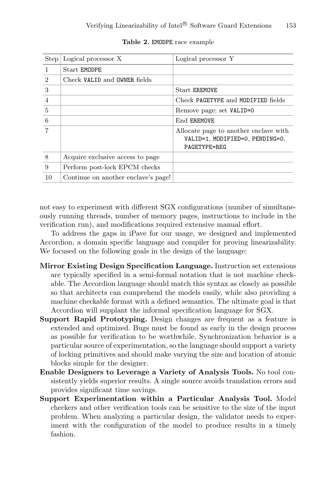| Step                        | Logical processor X                 | Logical processor Y                                                                      |
|-----------------------------|-------------------------------------|------------------------------------------------------------------------------------------|
| -1                          | Start EMODPE                        |                                                                                          |
| $\mathcal{D}_{\mathcal{L}}$ | Check VALID and OWNER fields        |                                                                                          |
| 3                           |                                     | <b>Start EREMOVE</b>                                                                     |
| $\overline{4}$              |                                     | Check PAGETYPE and MODIFIED fields                                                       |
| $\overline{5}$              |                                     | Remove page; set VALID=0                                                                 |
| 6                           |                                     | End EREMOVE                                                                              |
| $\overline{7}$              |                                     | Allocate page to another enclave with<br>VALID=1, MODIFIED=0, PENDING=0,<br>PAGETYPE=REG |
| 8                           | Acquire exclusive access to page    |                                                                                          |
| 9                           | Perform post-lock EPCM checks       |                                                                                          |
| 10                          | Continue on another enclave's page! |                                                                                          |

<span id="page-9-0"></span>**Table 2.** EMODPE race example

not easy to experiment with different SGX configurations (number of simultaneously running threads, number of memory pages, instructions to include in the verification run), and modifications required extensive manual effort.

To address the gaps in iPave for our usage, we designed and implemented Accordion, a domain specific language and compiler for proving linearizability. We focused on the following goals in the design of the language:

- **Mirror Existing Design Specification Language.** Instruction set extensions are typically specified in a semi-formal notation that is not machine checkable. The Accordion language should match this syntax as closely as possible so that architects can comprehend the models easily, while also providing a machine checkable format with a defined semantics. The ultimate goal is that Accordion will supplant the informal specification language for SGX.
- **Support Rapid Prototyping.** Design changes are frequent as a feature is extended and optimized. Bugs must be found as early in the design process as possible for verification to be worthwhile. Synchronization behavior is a particular source of experimentation, so the language should support a variety of locking primitives and should make varying the size and location of atomic blocks simple for the designer.
- **Enable Designers to Leverage a Variety of Analysis Tools.** No tool consistently yields superior results. A single source avoids translation errors and provides significant time savings.
- **Support Experimentation within a Particular Analysis Tool.** Model checkers and other verification tools can be sensitive to the size of the input problem. When analyzing a particular design, the validator needs to experiment with the configuration of the model to produce results in a timely fashion.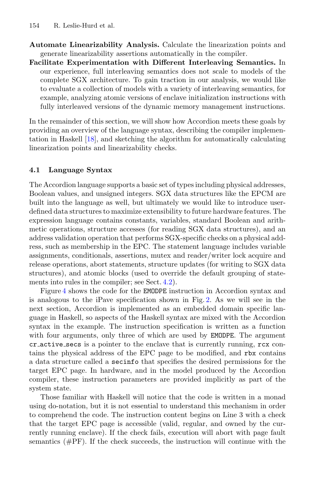- **Automate Linearizability Analysis.** Calculate the linearization points and generate linearizability assertions automatically in the compiler.
- **Facilitate Experimentation with Different Interleaving Semantics.** In our experience, full interleaving semantics does not scale to models of the complete SGX architecture. To gain traction in our analysis, we would like to evaluate a collection of models with a variety of interleaving semantics, for example, analyzing atomic versions of enclave initialization instructions with fully interleaved versions of the dynamic memory management instructions.

In the remainder of this section, we will show how Accordion meets these goals by providing an overview of the language syntax, describing the compiler implementation in Haskell [\[18](#page-15-9)], and sketching the algorithm for automatically calculating linearization points and linearizability checks.

#### **4.1 Language Syntax**

The Accordion language supports a basic set of types including physical addresses, Boolean values, and unsigned integers. SGX data structures like the EPCM are built into the language as well, but ultimately we would like to introduce userdefined data structures to maximize extensibility to future hardware features. The expression language contains constants, variables, standard Boolean and arithmetic operations, structure accesses (for reading SGX data structures), and an address validation operation that performs SGX-specific checks on a physical address, such as membership in the EPC. The statement language includes variable assignments, conditionals, assertions, mutex and reader/writer lock acquire and release operations, abort statements, structure updates (for writing to SGX data structures), and atomic blocks (used to override the default grouping of statements into rules in the compiler; see Sect. [4.2\)](#page-11-0).

Figure [4](#page-11-1) shows the code for the EMODPE instruction in Accordion syntax and is analogous to the iPave specification shown in Fig. [2.](#page-6-0) As we will see in the next section, Accordion is implemented as an embedded domain specific language in Haskell, so aspects of the Haskell syntax are mixed with the Accordion syntax in the example. The instruction specification is written as a function with four arguments, only three of which are used by EMODPE. The argument cr active secs is a pointer to the enclave that is currently running, rcx contains the physical address of the EPC page to be modified, and rbx contains a data structure called a secinfo that specifies the desired permissions for the target EPC page. In hardware, and in the model produced by the Accordion compiler, these instruction parameters are provided implicitly as part of the system state.

Those familiar with Haskell will notice that the code is written in a monad using do-notation, but it is not essential to understand this mechanism in order to comprehend the code. The instruction content begins on Line 3 with a check that the target EPC page is accessible (valid, regular, and owned by the currently running enclave). If the check fails, execution will abort with page fault semantics  $(\text{HPF})$ . If the check succeeds, the instruction will continue with the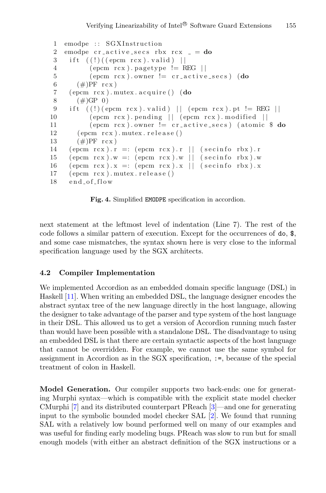```
1 emodpe :: SGXInstruction
 2 emodpe cr_active_secs rbx rcx = do\begin{array}{ll} 3 & \text{if t} & ((!) ((\text{epcm} \text{ rcx}). \text{valid}) ) \mid \\ 4 & (\text{epcm} \text{ rcx}). \text{nagetvpe} != \text{R} \end{array}4 ( epcm rcx). pagetype != REG ||<br>5 ( epcm rcx). owner != cr_active
                   (\text{e}_{\text{perm}} \text{rcx}). owner != \text{cr}_\text{active}_\text{secs} (\text{do})6 (\#)PF rcx)
 7 (epcm rcx ) . mutex . ac qui re ( ) (do
 8 (\#){\rm GP} \; 09 ift ((!) (epcm rcx). valid )| (epcm rcx). pt != REG ||<br>10 (epcm rcx). pending || (epcm rcx). modified ||10 ( epcm rcx ) . pending | | ( epcm rcx ) . modified | |<br>11 ( epcm rcx ) . owner != cr active secs ) ( atomic
                   (\text{epcm} \text{rcx}). owner != \text{cr}_\text{a} \text{ctive}_\text{secs} (atomic \text{\$} \text{do})
12 ( epcm rcx ) . mutex . r e lease ( )
13 (\#)PF rcx)
14 ( epcm rcx ). r =: ( epcm rcx ). r || ( secinfo rbx ). r 15 ( epcm rcx ). w =: ( epcm rcx ). w || ( secinfo rbx ). w
15 ( epcm rcx ).w =: ( epcm rcx ).w || ( secinfo rbx ).w \log_2 \left( \frac{1}{\sqrt{c}} \right) ( epcm rcx ).x =: ( epcm rcx ).x || ( secinfo rbx ).x
16 ( epcm rcx ). x =: ( epcm rcx ). x | | ( secinfo rbx ). x 17 ( encm rcx ), mutes, relcase ( )
         (epcm rcx ). mutex. r e l e a s e ()18 end_of_flow
```
<span id="page-11-1"></span>**Fig. 4.** Simplified EMODPE specification in accordion.

next statement at the leftmost level of indentation (Line 7). The rest of the code follows a similar pattern of execution. Except for the occurrences of do, \$, and some case mismatches, the syntax shown here is very close to the informal specification language used by the SGX architects.

#### <span id="page-11-0"></span>**4.2 Compiler Implementation**

We implemented Accordion as an embedded domain specific language (DSL) in Haskell [\[11](#page-15-10)]. When writing an embedded DSL, the language designer encodes the abstract syntax tree of the new language directly in the host language, allowing the designer to take advantage of the parser and type system of the host language in their DSL. This allowed us to get a version of Accordion running much faster than would have been possible with a standalone DSL. The disadvantage to using an embedded DSL is that there are certain syntactic aspects of the host language that cannot be overridden. For example, we cannot use the same symbol for assignment in Accordion as in the SGX specification, :=, because of the special treatment of colon in Haskell.

**Model Generation.** Our compiler supports two back-ends: one for generating Murphi syntax—which is compatible with the explicit state model checker CMurphi [\[7\]](#page-15-11) and its distributed counterpart PReach [\[3\]](#page-15-12)—and one for generating input to the symbolic bounded model checker SAL [\[2\]](#page-15-13). We found that running SAL with a relatively low bound performed well on many of our examples and was useful for finding early modeling bugs. PReach was slow to run but for small enough models (with either an abstract definition of the SGX instructions or a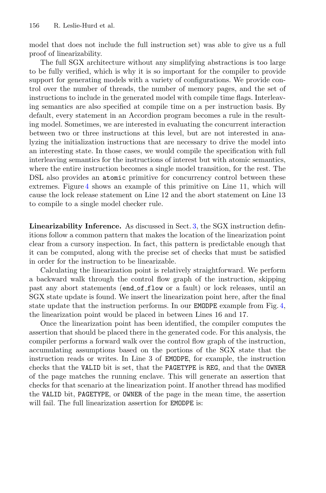model that does not include the full instruction set) was able to give us a full proof of linearizability.

The full SGX architecture without any simplifying abstractions is too large to be fully verified, which is why it is so important for the compiler to provide support for generating models with a variety of configurations. We provide control over the number of threads, the number of memory pages, and the set of instructions to include in the generated model with compile time flags. Interleaving semantics are also specified at compile time on a per instruction basis. By default, every statement in an Accordion program becomes a rule in the resulting model. Sometimes, we are interested in evaluating the concurrent interaction between two or three instructions at this level, but are not interested in analyzing the initialization instructions that are necessary to drive the model into an interesting state. In those cases, we would compile the specification with full interleaving semantics for the instructions of interest but with atomic semantics, where the entire instruction becomes a single model transition, for the rest. The DSL also provides an atomic primitive for concurrency control between these extremes. Figure  $4$  shows an example of this primitive on Line 11, which will cause the lock release statement on Line 12 and the abort statement on Line 13 to compile to a single model checker rule.

**Linearizability Inference.** As discussed in Sect. [3,](#page-5-0) the SGX instruction definitions follow a common pattern that makes the location of the linearization point clear from a cursory inspection. In fact, this pattern is predictable enough that it can be computed, along with the precise set of checks that must be satisfied in order for the instruction to be linearizable.

Calculating the linearization point is relatively straightforward. We perform a backward walk through the control flow graph of the instruction, skipping past any abort statements (end of flow or a fault) or lock releases, until an SGX state update is found. We insert the linearization point here, after the final state update that the instruction performs. In our EMODPE example from Fig. [4,](#page-11-1) the linearization point would be placed in between Lines 16 and 17.

Once the linearization point has been identified, the compiler computes the assertion that should be placed there in the generated code. For this analysis, the compiler performs a forward walk over the control flow graph of the instruction, accumulating assumptions based on the portions of the SGX state that the instruction reads or writes. In Line 3 of EMODPE, for example, the instruction checks that the VALID bit is set, that the PAGETYPE is REG, and that the OWNER of the page matches the running enclave. This will generate an assertion that checks for that scenario at the linearization point. If another thread has modified the VALID bit, PAGETYPE, or OWNER of the page in the mean time, the assertion will fail. The full linearization assertion for **EMODPE** is: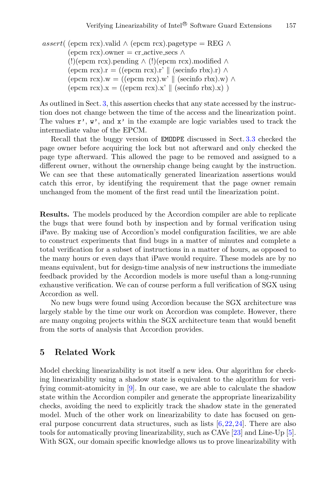$assert$ ( (epcm rcx).valid  $\wedge$  (epcm rcx).pagetype = REG  $\wedge$  $($ epcm rcx).owner = cr\_active\_secs  $\wedge$ (!)(epcm rcx).pending ∧ (!)(epcm rcx).modified ∧  $($ epcm rcx $)$ .r =  $(($ epcm rcx $)$ .r'  $\parallel$   $($ secinfo rbx $)$ .r $)$   $\wedge$  $($ epcm rcx $)$ .w =  $(($ epcm rcx $)$ .w'  $||$   $($ secinfo rbx $)$ .w $)$   $\wedge$ (epcm rcx). $x = ((\text{epcm} rcx).x' || (\text{section} rbx).x) )$ 

As outlined in Sect. [3,](#page-5-0) this assertion checks that any state accessed by the instruction does not change between the time of the access and the linearization point. The values  $\mathbf{r}'$ ,  $\mathbf{w}'$ , and  $\mathbf{x}'$  in the example are logic variables used to track the intermediate value of the EPCM.

Recall that the buggy version of **EMODPE** discussed in Sect. [3.3](#page-7-0) checked the page owner before acquiring the lock but not afterward and only checked the page type afterward. This allowed the page to be removed and assigned to a different owner, without the ownership change being caught by the instruction. We can see that these automatically generated linearization assertions would catch this error, by identifying the requirement that the page owner remain unchanged from the moment of the first read until the linearization point.

**Results.** The models produced by the Accordion compiler are able to replicate the bugs that were found both by inspection and by formal verification using iPave. By making use of Accordion's model configuration facilities, we are able to construct experiments that find bugs in a matter of minutes and complete a total verification for a subset of instructions in a matter of hours, as opposed to the many hours or even days that iPave would require. These models are by no means equivalent, but for design-time analysis of new instructions the immediate feedback provided by the Accordion models is more useful than a long-running exhaustive verification. We can of course perform a full verification of SGX using Accordion as well.

No new bugs were found using Accordion because the SGX architecture was largely stable by the time our work on Accordion was complete. However, there are many ongoing projects within the SGX architecture team that would benefit from the sorts of analysis that Accordion provides.

### <span id="page-13-0"></span>**5 Related Work**

Model checking linearizability is not itself a new idea. Our algorithm for checking linearizability using a shadow state is equivalent to the algorithm for verifying commit-atomicity in [\[9\]](#page-15-5). In our case, we are able to calculate the shadow state within the Accordion compiler and generate the appropriate linearizability checks, avoiding the need to explicitly track the shadow state in the generated model. Much of the other work on linearizability to date has focused on general purpose concurrent data structures, such as lists  $[6,22,24]$  $[6,22,24]$  $[6,22,24]$  $[6,22,24]$ . There are also tools for automatically proving linearizability, such as CAVe [\[23\]](#page-16-0) and Line-Up [\[5\]](#page-15-15). With SGX, our domain specific knowledge allows us to prove linearizability with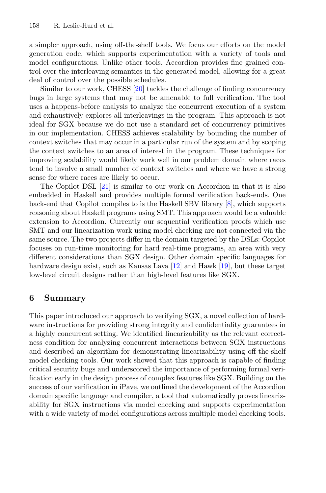a simpler approach, using off-the-shelf tools. We focus our efforts on the model generation code, which supports experimentation with a variety of tools and model configurations. Unlike other tools, Accordion provides fine grained control over the interleaving semantics in the generated model, allowing for a great deal of control over the possible schedules.

Similar to our work, CHESS [\[20](#page-16-3)] tackles the challenge of finding concurrency bugs in large systems that may not be amenable to full verification. The tool uses a happens-before analysis to analyze the concurrent execution of a system and exhaustively explores all interleavings in the program. This approach is not ideal for SGX because we do not use a standard set of concurrency primitives in our implementation. CHESS achieves scalability by bounding the number of context switches that may occur in a particular run of the system and by scoping the context switches to an area of interest in the program. These techniques for improving scalability would likely work well in our problem domain where races tend to involve a small number of context switches and where we have a strong sense for where races are likely to occur.

The Copilot DSL [\[21\]](#page-16-4) is similar to our work on Accordion in that it is also embedded in Haskell and provides multiple formal verification back-ends. One back-end that Copilot compiles to is the Haskell SBV library [\[8](#page-15-16)], which supports reasoning about Haskell programs using SMT. This approach would be a valuable extension to Accordion. Currently our sequential verification proofs which use SMT and our linearization work using model checking are not connected via the same source. The two projects differ in the domain targeted by the DSLs: Copilot focuses on run-time monitoring for hard real-time programs, an area with very different considerations than SGX design. Other domain specific languages for hardware design exist, such as Kansas Lava [\[12\]](#page-15-17) and Hawk [\[19\]](#page-16-5), but these target low-level circuit designs rather than high-level features like SGX.

### <span id="page-14-0"></span>**6 Summary**

This paper introduced our approach to verifying SGX, a novel collection of hardware instructions for providing strong integrity and confidentiality guarantees in a highly concurrent setting. We identified linearizability as the relevant correctness condition for analyzing concurrent interactions between SGX instructions and described an algorithm for demonstrating linearizability using off-the-shelf model checking tools. Our work showed that this approach is capable of finding critical security bugs and underscored the importance of performing formal verification early in the design process of complex features like SGX. Building on the success of our verification in iPave, we outlined the development of the Accordion domain specific language and compiler, a tool that automatically proves linearizability for SGX instructions via model checking and supports experimentation with a wide variety of model configurations across multiple model checking tools.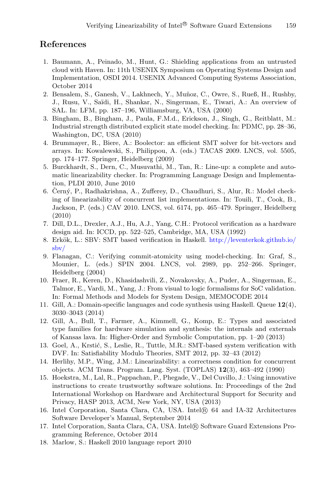## <span id="page-15-2"></span>**References**

- 1. Baumann, A., Peinado, M., Hunt, G.: Shielding applications from an untrusted cloud with Haven. In: 11th USENIX Symposium on Operating Systems Design and Implementation, OSDI 2014. USENIX Advanced Computing Systems Association, October 2014
- <span id="page-15-13"></span>2. Bensalem, S., Ganesh, V., Lakhnech, Y., Muñoz, C., Owre, S., Rueß, H., Rushby, J., Rusu, V., Sa¨ıdi, H., Shankar, N., Singerman, E., Tiwari, A.: An overview of SAL. In: LFM, pp. 187–196, Williamsburg, VA, USA (2000)
- <span id="page-15-12"></span>3. Bingham, B., Bingham, J., Paula, F.M.d., Erickson, J., Singh, G., Reitblatt, M.: Industrial strength distributed explicit state model checking. In: PDMC, pp. 28–36, Washington, DC, USA (2010)
- <span id="page-15-8"></span>4. Brummayer, R., Biere, A.: Boolector: an efficient SMT solver for bit-vectors and arrays. In: Kowalewski, S., Philippou, A. (eds.) TACAS 2009. LNCS, vol. 5505, pp. 174–177. Springer, Heidelberg (2009)
- <span id="page-15-15"></span>5. Burckhardt, S., Dern, C., Musuvathi, M., Tan, R.: Line-up: a complete and automatic linearizability checker. In: Programming Language Design and Implementation, PLDI 2010, June 2010
- <span id="page-15-14"></span>6. Černý, P., Radhakrishna, A., Zufferey, D., Chaudhuri, S., Alur, R.: Model checking of linearizability of concurrent list implementations. In: Touili, T., Cook, B., Jackson, P. (eds.) CAV 2010. LNCS, vol. 6174, pp. 465–479. Springer, Heidelberg (2010)
- <span id="page-15-11"></span>7. Dill, D.L., Drexler, A.J., Hu, A.J., Yang, C.H.: Protocol verification as a hardware design aid. In: ICCD, pp. 522–525, Cambridge, MA, USA (1992)
- <span id="page-15-16"></span>8. Erkök, L.: SBV: SMT based verification in Haskell. [http://leventerkok.github.io/](http://leventerkok.github.io/sbv/) [sbv/](http://leventerkok.github.io/sbv/)
- <span id="page-15-5"></span>9. Flanagan, C.: Verifying commit-atomicity using model-checking. In: Graf, S., Mounier, L. (eds.) SPIN 2004. LNCS, vol. 2989, pp. 252–266. Springer, Heidelberg (2004)
- <span id="page-15-7"></span>10. Fraer, R., Keren, D., Khasidashvili, Z., Novakovsky, A., Puder, A., Singerman, E., Talmor, E., Vardi, M., Yang, J.: From visual to logic formalisms for SoC validation. In: Formal Methods and Models for System Design, MEMOCODE 2014
- <span id="page-15-10"></span>11. Gill, A.: Domain-specific languages and code synthesis using Haskell. Queue **12**(4), 3030–3043 (2014)
- <span id="page-15-17"></span>12. Gill, A., Bull, T., Farmer, A., Kimmell, G., Komp, E.: Types and associated type families for hardware simulation and synthesis: the internals and externals of Kansas lava. In: Higher-Order and Symbolic Computation, pp. 1–20 (2013)
- <span id="page-15-4"></span>13. Goel, A., Krstić, S., Leslie, R., Tuttle, M.R.: SMT-based system verification with DVF. In: Satisfiability Modulo Theories, SMT 2012, pp. 32–43 (2012)
- <span id="page-15-3"></span>14. Herlihy, M.P., Wing, J.M.: Linearizability: a correctness condition for concurrent objects. ACM Trans. Program. Lang. Syst. (TOPLAS) **12**(3), 463–492 (1990)
- <span id="page-15-1"></span>15. Hoekstra, M., Lal, R., Pappachan, P., Phegade, V., Del Cuvillo, J.: Using innovative instructions to create trustworthy software solutions. In: Proceedings of the 2nd International Workshop on Hardware and Architectural Support for Security and Privacy, HASP 2013, ACM, New York, NY, USA (2013)
- <span id="page-15-6"></span>16. Intel Corporation, Santa Clara, CA, USA. Intel® 64 and IA-32 Architectures Software Developer's Manual, September 2014
- <span id="page-15-0"></span>17. Intel Corporation, Santa Clara, CA, USA. Intel® Software Guard Extensions Programming Reference, October 2014
- <span id="page-15-9"></span>18. Marlow, S.: Haskell 2010 language report 2010